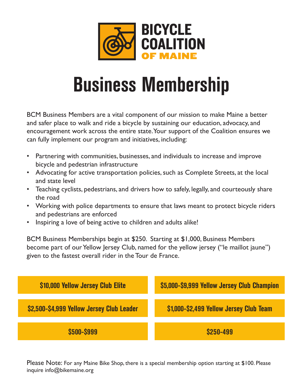

## **Business Membership**

BCM Business Members are a vital component of our mission to make Maine a better and safer place to walk and ride a bicycle by sustaining our education, advocacy, and encouragement work across the entire state. Your support of the Coalition ensures we can fully implement our program and initiatives, including:

- Partnering with communities, businesses, and individuals to increase and improve bicycle and pedestrian infrastructure
- Advocating for active transportation policies, such as Complete Streets, at the local and state level
- Teaching cyclists, pedestrians, and drivers how to safely, legally, and courteously share the road
- Working with police departments to ensure that laws meant to protect bicycle riders and pedestrians are enforced
- Inspiring a love of being active to children and adults alike!

BCM Business Memberships begin at \$250. Starting at \$1,000, Business Members become part of our Yellow Jersey Club, named for the yellow jersey ("le maillot jaune") given to the fastest overall rider in the Tour de France.



Please Note: For any Maine Bike Shop, there is a special membership option starting at \$100. Please inquire info@bikemaine.org